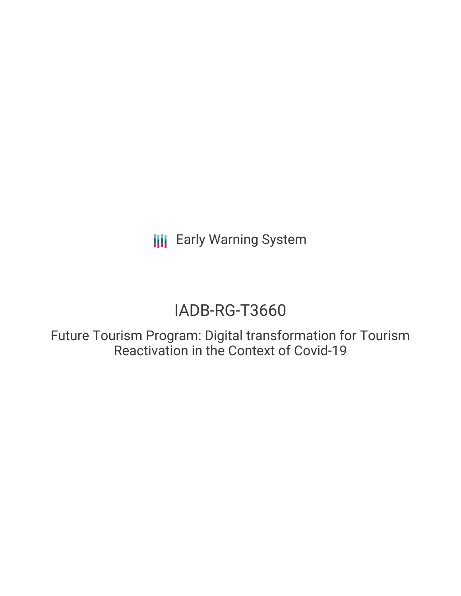**III** Early Warning System

# IADB-RG-T3660

Future Tourism Program: Digital transformation for Tourism Reactivation in the Context of Covid-19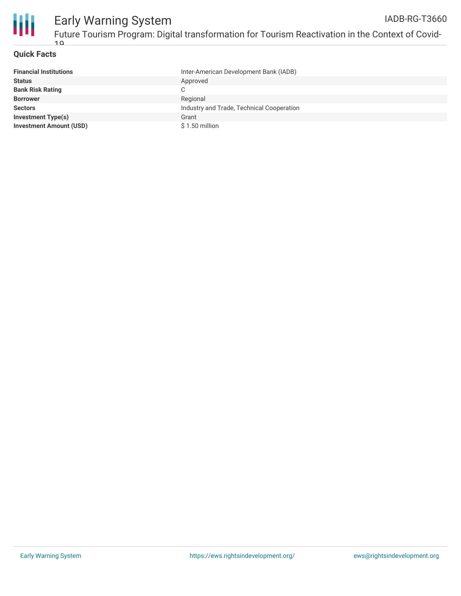

#### **Quick Facts**

| <b>Financial Institutions</b>  | Inter-American Development Bank (IADB)    |
|--------------------------------|-------------------------------------------|
| <b>Status</b>                  | Approved                                  |
| <b>Bank Risk Rating</b>        |                                           |
| <b>Borrower</b>                | Regional                                  |
| <b>Sectors</b>                 | Industry and Trade, Technical Cooperation |
| <b>Investment Type(s)</b>      | Grant                                     |
| <b>Investment Amount (USD)</b> | \$1.50 million                            |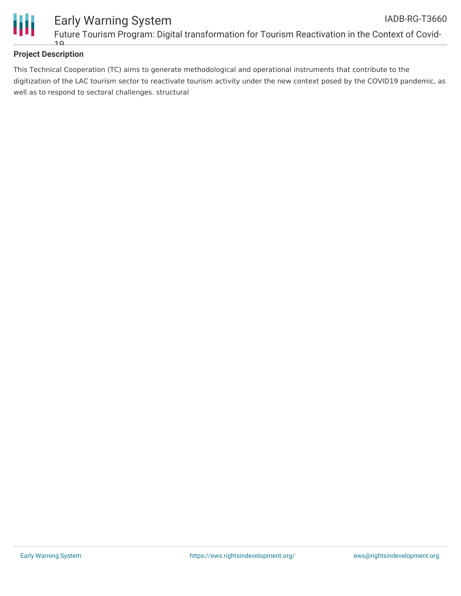

### **Project Description**

This Technical Cooperation (TC) aims to generate methodological and operational instruments that contribute to the digitization of the LAC tourism sector to reactivate tourism activity under the new context posed by the COVID19 pandemic, as well as to respond to sectoral challenges. structural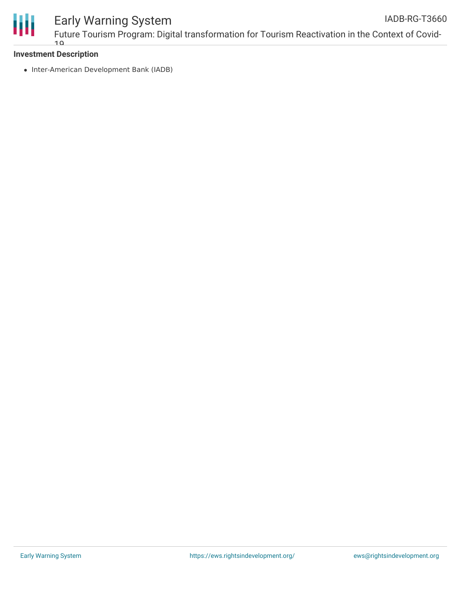

#### Early Warning System Future Tourism Program: Digital transformation for Tourism Reactivation in the Context of Covid- $10$ IADB-RG-T3660

#### **Investment Description**

• Inter-American Development Bank (IADB)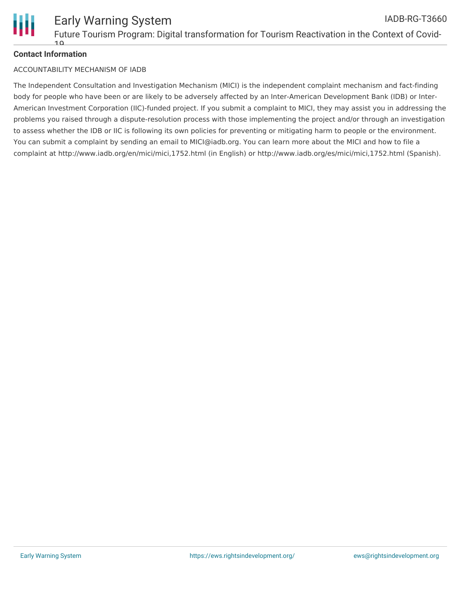

### **Contact Information**

#### ACCOUNTABILITY MECHANISM OF IADB

The Independent Consultation and Investigation Mechanism (MICI) is the independent complaint mechanism and fact-finding body for people who have been or are likely to be adversely affected by an Inter-American Development Bank (IDB) or Inter-American Investment Corporation (IIC)-funded project. If you submit a complaint to MICI, they may assist you in addressing the problems you raised through a dispute-resolution process with those implementing the project and/or through an investigation to assess whether the IDB or IIC is following its own policies for preventing or mitigating harm to people or the environment. You can submit a complaint by sending an email to MICI@iadb.org. You can learn more about the MICI and how to file a complaint at http://www.iadb.org/en/mici/mici,1752.html (in English) or http://www.iadb.org/es/mici/mici,1752.html (Spanish).